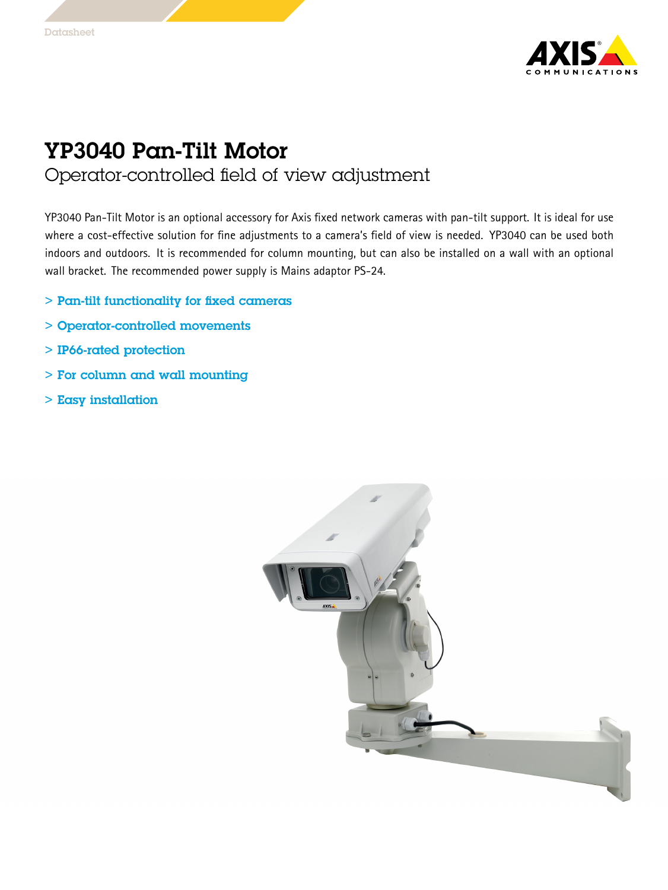

## YP3040 Pan-Tilt Motor Operator-controlled field of view adjustment

YP3040 Pan-Tilt Motor is an optional accessory for Axis fixed network cameras with pan-tilt support. It is ideal for use where <sup>a</sup> cost-effective solution for fine adjustments to <sup>a</sup> camera's field of view is needed. YP3040 can be used both indoors and outdoors. It is recommended for column mounting, but can also be installed on <sup>a</sup> wall with an optional wall bracket. The recommended power supply is Mains adaptor PS-24.

- > Pan-tilt functionality for fixed cameras
- > Operator-controlled movements
- > IP66-rated protection
- > For column and wall mounting
- > Easy installation